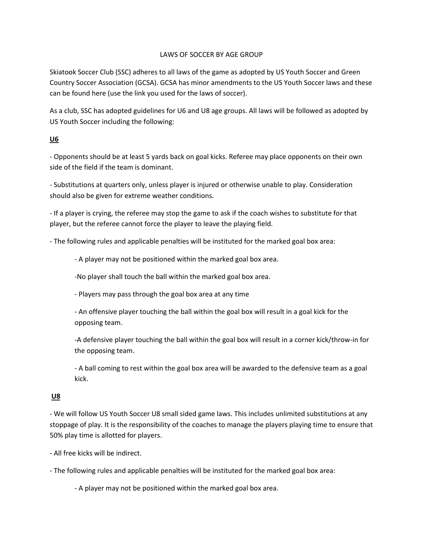## LAWS OF SOCCER BY AGE GROUP

Skiatook Soccer Club (SSC) adheres to all laws of the game as adopted by US Youth Soccer and Green Country Soccer Association (GCSA). GCSA has minor amendments to the US Youth Soccer laws and these can be found here (use the link you used for the laws of soccer).

As a club, SSC has adopted guidelines for U6 and U8 age groups. All laws will be followed as adopted by US Youth Soccer including the following:

## **U6**

- Opponents should be at least 5 yards back on goal kicks. Referee may place opponents on their own side of the field if the team is dominant.

- Substitutions at quarters only, unless player is injured or otherwise unable to play. Consideration should also be given for extreme weather conditions.

- If a player is crying, the referee may stop the game to ask if the coach wishes to substitute for that player, but the referee cannot force the player to leave the playing field.

- The following rules and applicable penalties will be instituted for the marked goal box area:

- A player may not be positioned within the marked goal box area.

-No player shall touch the ball within the marked goal box area.

- Players may pass through the goal box area at any time

- An offensive player touching the ball within the goal box will result in a goal kick for the opposing team.

-A defensive player touching the ball within the goal box will result in a corner kick/throw-in for the opposing team.

- A ball coming to rest within the goal box area will be awarded to the defensive team as a goal kick.

## **U8**

- We will follow US Youth Soccer U8 small sided game laws. This includes unlimited substitutions at any stoppage of play. It is the responsibility of the coaches to manage the players playing time to ensure that 50% play time is allotted for players.

- All free kicks will be indirect.

- The following rules and applicable penalties will be instituted for the marked goal box area:

- A player may not be positioned within the marked goal box area.